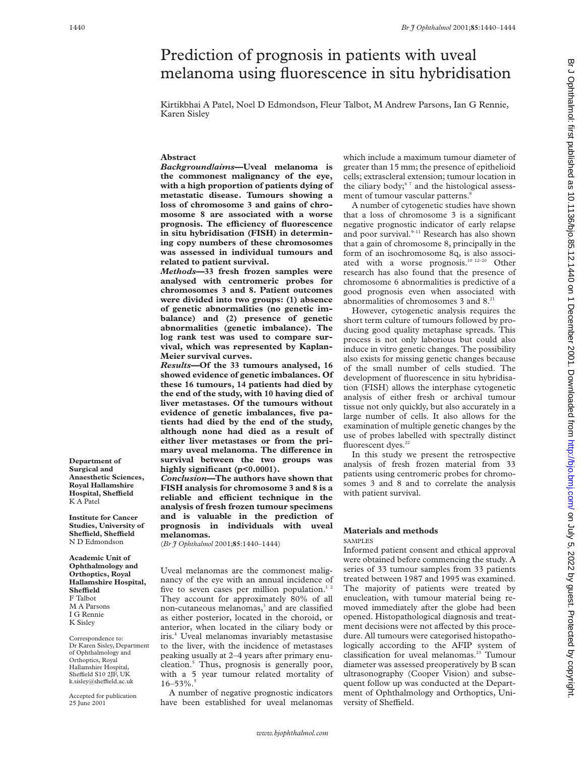# Prediction of prognosis in patients with uveal melanoma using fluorescence in situ hybridisation

Kirtikbhai A Patel, Noel D Edmondson, Fleur Talbot, M Andrew Parsons, Ian G Rennie, Karen Sisley

## **Abstract**

*Background/aims***—Uveal melanoma is the commonest malignancy of the eye, with a high proportion of patients dying of metastatic disease. Tumours showing a loss of chromosome 3 and gains of chromosome 8 are associated with a worse** prognosis. The efficiency of fluorescence **in situ hybridisation (FISH) in determining copy numbers of these chromosomes was assessed in individual tumours and related to patient survival.**

*Methods***—33 fresh frozen samples were analysed with centromeric probes for chromosomes 3 and 8. Patient outcomes were divided into two groups: (1) absence of genetic abnormalities (no genetic imbalance) and (2) presence of genetic abnormalities (genetic imbalance). The log rank test was used to compare survival, which was represented by Kaplan-Meier survival curves.**

*Results—***Of the 33 tumours analysed, 16 showed evidence of genetic imbalances. Of these 16 tumours, 14 patients had died by the end of the study, with 10 having died of liver metastases. Of the tumours without evidence of genetic imbalances, five patients had died by the end of the study, although none had died as a result of either liver metastases or from the pri**mary uveal melanoma. The difference in **survival between the two groups was highly significant (p<0.0001).**

*Conclusion***—The authors have shown that FISH analysis for chromosome 3 and 8 is a reliable and eYcient technique in the analysis of fresh frozen tumour specimens and is valuable in the prediction of prognosis in individuals with uveal melanomas.**

(*Br J Ophthalmol* 2001;**85**:1440–1444)

Uveal melanomas are the commonest malignancy of the eye with an annual incidence of five to seven cases per million population.<sup>12</sup> They account for approximately 80% of all non-cutaneous melanomas,<sup>3</sup> and are classified as either posterior, located in the choroid, or anterior, when located in the ciliary body or iris.4 Uveal melanomas invariably metastasise to the liver, with the incidence of metastases peaking usually at 2–4 years after primary enucleation.5 Thus, prognosis is generally poor, with a 5 year tumour related mortality of  $16 - 53\%$ .

A number of negative prognostic indicators have been established for uveal melanomas which include a maximum tumour diameter of greater than 15 mm; the presence of epithelioid cells; extrascleral extension; tumour location in the ciliary body;<sup>67</sup> and the histological assessment of tumour vascular patterns.<sup>8</sup>

A number of cytogenetic studies have shown that a loss of chromosome 3 is a significant negative prognostic indicator of early relapse and poor survival.<sup>9-11</sup> Research has also shown that a gain of chromosome 8, principally in the form of an isochromosome 8q, is also associated with a worse prognosis.10 12–20 Other research has also found that the presence of chromosome 6 abnormalities is predictive of a good prognosis even when associated with abnormalities of chromosomes 3 and 8.21

However, cytogenetic analysis requires the short term culture of tumours followed by producing good quality metaphase spreads. This process is not only laborious but could also induce in vitro genetic changes. The possibility also exists for missing genetic changes because of the small number of cells studied. The development of fluorescence in situ hybridisation (FISH) allows the interphase cytogenetic analysis of either fresh or archival tumour tissue not only quickly, but also accurately in a large number of cells. It also allows for the examination of multiple genetic changes by the use of probes labelled with spectrally distinct fluorescent dyes.<sup>22</sup>

In this study we present the retrospective analysis of fresh frozen material from 33 patients using centromeric probes for chromosomes 3 and 8 and to correlate the analysis with patient survival.

### **Materials and methods** SAMPLES

Informed patient consent and ethical approval were obtained before commencing the study. A series of 33 tumour samples from 33 patients treated between 1987 and 1995 was examined. The majority of patients were treated by enucleation, with tumour material being removed immediately after the globe had been opened. Histopathological diagnosis and treatment decisions were not affected by this procedure. All tumours were categorised histopathologically according to the AFIP system of classification for uveal melanomas.23 Tumour diameter was assessed preoperatively by B scan ultrasonography (Cooper Vision) and subsequent follow up was conducted at the Department of Ophthalmology and Orthoptics, University of Sheffield.

**Department of Surgical and Anaesthetic Sciences, Royal Hallamshire Hospital, SheYeld** K A Patel

**Institute for Cancer Studies, University of SheYeld, SheYeld** N D Edmondson

**Academic Unit of Ophthalmology and Orthoptics, Royal Hallamshire Hospital, SheYeld** F Talbot M A Parsons I G Rennie K Sisley

Correspondence to: Dr Karen Sisley, Department of Ophthalmology and Orthoptics, Royal Hallamshire Hospital, Sheffield S10 2JF, UK k.sisley@sheffield.ac.uk

Accepted for publication 25 June 2001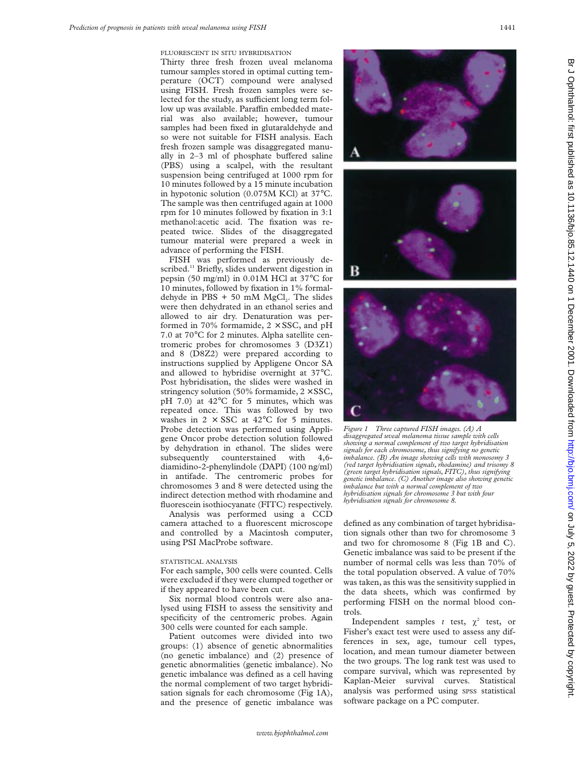FLUORESCENT IN SITU HYBRIDISATION

Thirty three fresh frozen uveal melanoma tumour samples stored in optimal cutting temperature (OCT) compound were analysed using FISH. Fresh frozen samples were selected for the study, as sufficient long term follow up was available. Paraffin embedded material was also available; however, tumour samples had been fixed in glutaraldehyde and so were not suitable for FISH analysis. Each fresh frozen sample was disaggregated manually in  $2-3$  ml of phosphate buffered saline (PBS) using a scalpel, with the resultant suspension being centrifuged at 1000 rpm for 10 minutes followed by a 15 minute incubation in hypotonic solution (0.075M KCl) at 37°C. The sample was then centrifuged again at 1000 rpm for 10 minutes followed by fixation in 3:1 methanol:acetic acid. The fixation was repeated twice. Slides of the disaggregated tumour material were prepared a week in advance of performing the FISH.

FISH was performed as previously described.<sup>11</sup> Briefly, slides underwent digestion in pepsin (50 mg/ml) in 0.01M HCl at 37°C for 10 minutes, followed by fixation in 1% formaldehyde in PBS  $+50$  mM MgCl<sub>2</sub>. The slides were then dehydrated in an ethanol series and allowed to air dry. Denaturation was performed in 70% formamide,  $2 \times SSC$ , and pH 7.0 at 70°C for 2 minutes. Alpha satellite centromeric probes for chromosomes 3 (D3Z1) and 8 (D8Z2) were prepared according to instructions supplied by Appligene Oncor SA and allowed to hybridise overnight at 37°C. Post hybridisation, the slides were washed in stringency solution (50% formamide,  $2 \times SSC$ , pH 7.0) at 42°C for 5 minutes, which was repeated once. This was followed by two washes in  $2 \times SSC$  at  $42^{\circ}C$  for 5 minutes. Probe detection was performed using Appligene Oncor probe detection solution followed by dehydration in ethanol. The slides were subsequently counterstained with 4,6 diamidino-2-phenylindole (DAPI) (100 ng/ml) in antifade. The centromeric probes for chromosomes 3 and 8 were detected using the indirect detection method with rhodamine and fluorescein isothiocyanate (FITC) respectively.

Analysis was performed using a CCD camera attached to a fluorescent microscope and controlled by a Macintosh computer, using PSI MacProbe software.

### STATISTICAL ANALYSIS

For each sample, 300 cells were counted. Cells were excluded if they were clumped together or if they appeared to have been cut.

Six normal blood controls were also analysed using FISH to assess the sensitivity and specificity of the centromeric probes. Again 300 cells were counted for each sample.

Patient outcomes were divided into two groups: (1) absence of genetic abnormalities (no genetic imbalance) and (2) presence of genetic abnormalities (genetic imbalance). No genetic imbalance was defined as a cell having the normal complement of two target hybridisation signals for each chromosome (Fig 1A), and the presence of genetic imbalance was







*Figure 1 Three captured FISH images. (A) A disaggregated uveal melanoma tissue sample with cells showing a normal complement of two target hybridisation signals for each chromosome, thus signifying no genetic imbalance. (B) An image showing cells with monosomy 3 (red target hybridisation signals, rhodamine) and trisomy 8 (green target hybridisation signals, FITC), thus signifying genetic imbalance. (C) Another image also showing genetic imbalance but with a normal complement of two hybridisation signals for chromosome 3 but with four hybridisation signals for chromosome 8.*

defined as any combination of target hybridisation signals other than two for chromosome 3 and two for chromosome 8 (Fig 1B and C). Genetic imbalance was said to be present if the number of normal cells was less than 70% of the total population observed. A value of 70% was taken, as this was the sensitivity supplied in the data sheets, which was confirmed by performing FISH on the normal blood controls.

Independent samples *t* test,  $\chi^2$  test, or Fisher's exact test were used to assess any differences in sex, age, tumour cell types, location, and mean tumour diameter between the two groups. The log rank test was used to compare survival, which was represented by Kaplan-Meier survival curves. Statistical analysis was performed using SPSS statistical software package on a PC computer.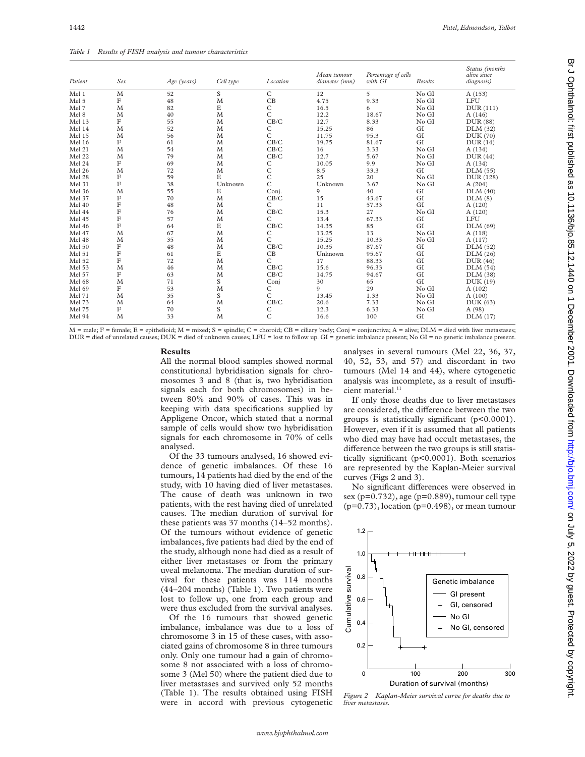*Table 1 Results of FISH analysis and tumour characteristics*

| Patient | Sex         | Age (years) | Cell type  | Location     | Mean tumour<br>diameter (mm) | Percentage of cells<br>with GI | Results | Status (months<br>alive since<br>diagnosis) |
|---------|-------------|-------------|------------|--------------|------------------------------|--------------------------------|---------|---------------------------------------------|
| Mel 1   | M           | 52          | S          | $\mathsf{C}$ | 12                           | 5                              | No GI   | A (153)                                     |
| Mel 5   | F           | 48          | M          | CB           | 4.75                         | 9.33                           | No GI   | LFU                                         |
| Mel 7   | M           | 82          | Е          | $\mathsf{C}$ | 16.5                         | 6                              | No GI   | DUR(111)                                    |
| Mel 8   | M           | 40          | M          | C            | 12.2                         | 18.67                          | No GI   | A(146)                                      |
| Mel 13  | F           | 55          | M          | CB/C         | 12.7                         | 8.33                           | No GI   | DUR (88)                                    |
| Mel 14  | M           | 52          | M          | С            | 15.25                        | 86                             | GI      | DLM (32)                                    |
| Mel 15  | M           | 56          | M          | C            | 11.75                        | 95.3                           | GI      | DUK (70)                                    |
| Mel 16  | F           | 61          | M          | CB/C         | 19.75                        | 81.67                          | GI      | DUR(14)                                     |
| Mel 21  | M           | 54          | $_{\rm M}$ | CB/C         | 16                           | 3.33                           | No GI   | A (134)                                     |
| Mel 22  | M           | 79          | $_{\rm M}$ | CB/C         | 12.7                         | 5.67                           | No GI   | DUR(44)                                     |
| Mel 24  | F           | 69          | M          | С            | 10.05                        | 9.9                            | No GI   | A (134)                                     |
| Mel 26  | M           | 72          | M          | $\mathsf C$  | 8.5                          | 33.3                           | GI      | DLM(55)                                     |
| Mel 28  | F           | 59          | Ε          | $\mathsf{C}$ | 25                           | 20                             | No GI   | DUR (128)                                   |
| Mel 31  | $\mathbf F$ | 38          | Unknown    | C            | Unknown                      | 3.67                           | No GI   | A(204)                                      |
| Mel 36  | M           | 55          | Ε          | Conj.        | 9                            | 40                             | GI      | DLM(40)                                     |
| Mel 37  | F           | 70          | M          | CB/C         | 15                           | 43.67                          | GI      | DLM(8)                                      |
| Mel 40  | F           | 48          | M          | C            | 11                           | 57.33                          | GI      | A(120)                                      |
| Mel 44  | $\mathbf F$ | 76          | M          | CB/C         | 15.3                         | 27                             | No GI   | A (120)                                     |
| Mel 45  | $\mathbf F$ | 57          | M          | C            | 13.4                         | 67.33                          | GI      | LFU                                         |
| Mel 46  | F           | 64          | E          | CB/C         | 14.35                        | 85                             | GI      | DLM(69)                                     |
| Mel 47  | M           | 67          | M          | C            | 13.25                        | 13                             | No GI   | A(118)                                      |
| Mel 48  | M           | 35          | M          | C            | 15.25                        | 10.33                          | No GI   | A(117)                                      |
| Mel 50  | $\mathbf F$ | 48          | M          | CB/C         | 10.35                        | 87.67                          | GI      | DLM(52)                                     |
| Mel 51  | $\mathbf F$ | 61          | E          | CB           | Unknown                      | 95.67                          | GI      | DLM(26)                                     |
| Mel 52  | $\mathbf F$ | 72          | M          | C            | 17                           | 88.33                          | GI      | DUR(46)                                     |
| Mel 53  | M           | 46          | M          | CB/C         | 15.6                         | 96.33                          | GI      | DLM(54)                                     |
| Mel 57  | F           | 63          | M          | CB/C         | 14.75                        | 94.67                          | GI      | DLM(38)                                     |
| Mel 68  | M           | 71          | S          | Conj         | 30                           | 65                             | GI      | DUK (19)                                    |
| Mel 69  | F           | 53          | M          | C            | 9                            | 29                             | No GI   | A(102)                                      |
| Mel 71  | M           | 35          | S          | $\mathsf{C}$ | 13.45                        | 1.33                           | No GI   | A(100)                                      |
| Mel 73  | M           | 64          | M          | CB/C         | 20.6                         | 7.33                           | No GI   | DUK(63)                                     |
| Mel 75  | F           | 70          | S          | C            | 12.3                         | 6.33                           | No GI   | A (98)                                      |
| Mel 94  | M           | 33          | M          | $\mathsf{C}$ | 16.6                         | 100                            | GI      | DLM(17)                                     |

M = male; F = female; E = epithelioid; M = mixed; S = spindle; C = choroid; CB = ciliary body; Conj = conjunctiva; A = alive; DLM = died with liver metastases; DUR = died of unrelated causes; DUK = died of unknown causes; LFU = lost to follow up. GI = genetic imbalance present; No GI = no genetic imbalance present.

### **Results**

All the normal blood samples showed normal constitutional hybridisation signals for chromosomes 3 and 8 (that is, two hybridisation signals each for both chromosomes) in between 80% and 90% of cases. This was in keeping with data specifications supplied by Appligene Oncor, which stated that a normal sample of cells would show two hybridisation signals for each chromosome in 70% of cells analysed.

Of the 33 tumours analysed, 16 showed evidence of genetic imbalances. Of these 16 tumours, 14 patients had died by the end of the study, with 10 having died of liver metastases. The cause of death was unknown in two patients, with the rest having died of unrelated causes. The median duration of survival for these patients was 37 months (14–52 months). Of the tumours without evidence of genetic imbalances, five patients had died by the end of the study, although none had died as a result of either liver metastases or from the primary uveal melanoma. The median duration of survival for these patients was 114 months (44–204 months) (Table 1). Two patients were lost to follow up, one from each group and were thus excluded from the survival analyses.

Of the 16 tumours that showed genetic imbalance, imbalance was due to a loss of chromosome 3 in 15 of these cases, with associated gains of chromosome 8 in three tumours only. Only one tumour had a gain of chromosome 8 not associated with a loss of chromosome 3 (Mel 50) where the patient died due to liver metastases and survived only 52 months (Table 1). The results obtained using FISH were in accord with previous cytogenetic

analyses in several tumours (Mel 22, 36, 37, 40, 52, 53, and 57) and discordant in two tumours (Mel 14 and 44), where cytogenetic analysis was incomplete, as a result of insufficient material.<sup>11</sup>

If only those deaths due to liver metastases are considered, the difference between the two groups is statistically significant (p<0.0001). However, even if it is assumed that all patients who died may have had occult metastases, the difference between the two groups is still statistically significant (p<0.0001). Both scenarios are represented by the Kaplan-Meier survival curves (Figs 2 and 3).

No significant differences were observed in sex ( $p=0.732$ ), age ( $p=0.889$ ), tumour cell type  $(p=0.73)$ , location  $(p=0.498)$ , or mean tumour



*Figure 2 Kaplan-Meier survival curve for deaths due to liver metastases.*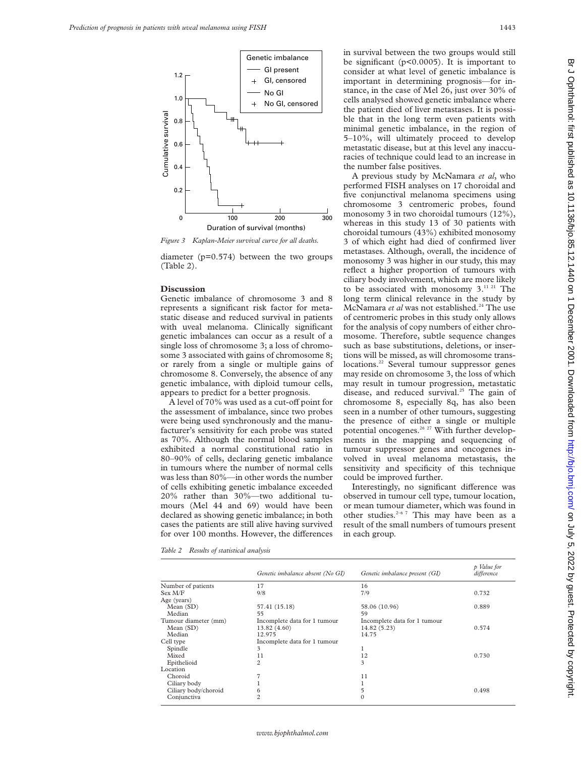

*Figure 3 Kaplan-Meier survival curve for all deaths.*

diameter (p=0.574) between the two groups (Table 2).

#### **Discussion**

Genetic imbalance of chromosome 3 and 8 represents a significant risk factor for metastatic disease and reduced survival in patients with uveal melanoma. Clinically significant genetic imbalances can occur as a result of a single loss of chromosome 3; a loss of chromosome 3 associated with gains of chromosome 8; or rarely from a single or multiple gains of chromosome 8. Conversely, the absence of any genetic imbalance, with diploid tumour cells, appears to predict for a better prognosis.

A level of 70% was used as a cut-off point for the assessment of imbalance, since two probes were being used synchronously and the manufacturer's sensitivity for each probe was stated as 70%. Although the normal blood samples exhibited a normal constitutional ratio in 80–90% of cells, declaring genetic imbalance in tumours where the number of normal cells was less than 80%—in other words the number of cells exhibiting genetic imbalance exceeded 20% rather than 30%—two additional tumours (Mel 44 and 69) would have been declared as showing genetic imbalance; in both cases the patients are still alive having survived for over 100 months. However, the differences

in survival between the two groups would still be significant (p<0.0005). It is important to consider at what level of genetic imbalance is important in determining prognosis—for instance, in the case of Mel 26, just over 30% of cells analysed showed genetic imbalance where the patient died of liver metastases. It is possible that in the long term even patients with minimal genetic imbalance, in the region of 5–10%, will ultimately proceed to develop metastatic disease, but at this level any inaccuracies of technique could lead to an increase in the number false positives.

A previous study by McNamara *et al*, who performed FISH analyses on 17 choroidal and five conjunctival melanoma specimens using chromosome 3 centromeric probes, found monosomy 3 in two choroidal tumours (12%), whereas in this study 13 of 30 patients with choroidal tumours (43%) exhibited monosomy 3 of which eight had died of confirmed liver metastases. Although, overall, the incidence of monosomy 3 was higher in our study, this may reflect a higher proportion of tumours with ciliary body involvement, which are more likely to be associated with monosomy 3.11 21 The long term clinical relevance in the study by McNamara *et al* was not established.<sup>24</sup> The use of centromeric probes in this study only allows for the analysis of copy numbers of either chromosome. Therefore, subtle sequence changes such as base substitutions, deletions, or insertions will be missed, as will chromosome translocations.<sup>22</sup> Several tumour suppressor genes may reside on chromosome 3, the loss of which may result in tumour progression, metastatic disease, and reduced survival.<sup>25</sup> The gain of chromosome 8, especially 8q, has also been seen in a number of other tumours, suggesting the presence of either a single or multiple potential oncogenes.<sup>26 27</sup> With further developments in the mapping and sequencing of tumour suppressor genes and oncogenes involved in uveal melanoma metastasis, the sensitivity and specificity of this technique could be improved further.

Interestingly, no significant difference was observed in tumour cell type, tumour location, or mean tumour diameter, which was found in other studies. $2-6$ <sup>7</sup> This may have been as a result of the small numbers of tumours present in each group.

*Table 2 Results of statistical analysis*

|                      | Genetic imbalance absent (No GI) | Genetic imbalance present (GI) | p Value for<br>difference |
|----------------------|----------------------------------|--------------------------------|---------------------------|
| Number of patients   | 17                               | 16                             |                           |
| Sex M/F              | 9/8                              | 7/9                            | 0.732                     |
| Age (years)          |                                  |                                |                           |
| Mean(SD)             | 57.41 (15.18)                    | 58.06 (10.96)                  | 0.889                     |
| Median               | 55                               | 59                             |                           |
| Tumour diameter (mm) | Incomplete data for 1 tumour     | Incomplete data for 1 tumour   |                           |
| Mean(SD)             | 13.82 (4.60)                     | 14.82 (5.23)                   | 0.574                     |
| Median               | 12.975                           | 14.75                          |                           |
| Cell type            | Incomplete data for 1 tumour     |                                |                           |
| Spindle              | 3                                |                                |                           |
| Mixed                | 11                               | 12                             | 0.730                     |
| Epithelioid          | $\overline{c}$                   | 3                              |                           |
| Location             |                                  |                                |                           |
| Choroid              |                                  | 11                             |                           |
| Ciliary body         |                                  |                                |                           |
| Ciliary body/choroid | 6                                | 5                              | 0.498                     |
| Conjunctiva          | $\overline{c}$                   | $\Omega$                       |                           |